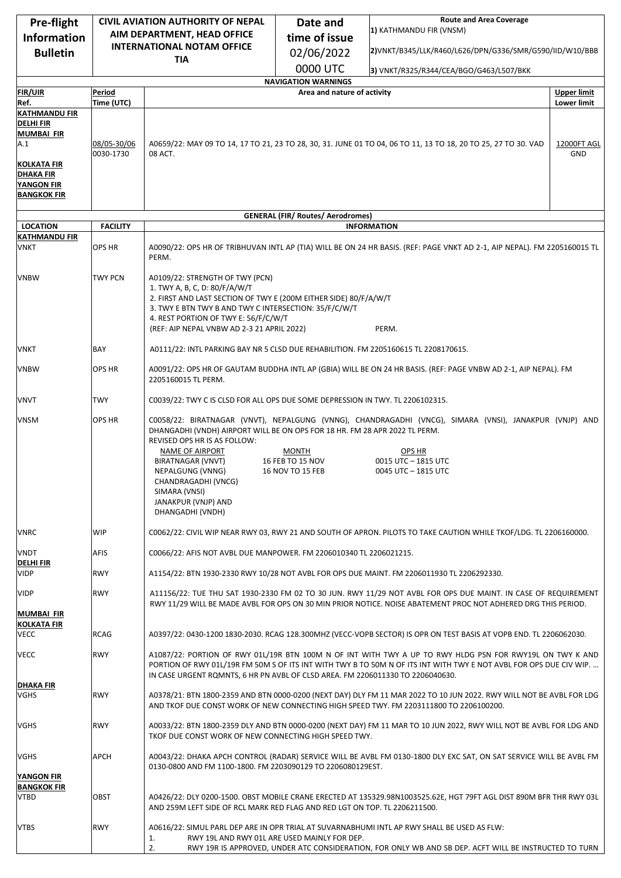| <b>Pre-flight</b>                                      | <b>CIVIL AVIATION AUTHORITY OF NEPAL</b> |                                                                                                                                                                                                                                                                                              | Date and                                                                                                                                                                                                                                                                                                         | <b>Route and Area Coverage</b><br>1) KATHMANDU FIR (VNSM)                                                                                                                                                                       |                                          |
|--------------------------------------------------------|------------------------------------------|----------------------------------------------------------------------------------------------------------------------------------------------------------------------------------------------------------------------------------------------------------------------------------------------|------------------------------------------------------------------------------------------------------------------------------------------------------------------------------------------------------------------------------------------------------------------------------------------------------------------|---------------------------------------------------------------------------------------------------------------------------------------------------------------------------------------------------------------------------------|------------------------------------------|
| <b>Information</b>                                     |                                          | AIM DEPARTMENT, HEAD OFFICE<br><b>INTERNATIONAL NOTAM OFFICE</b>                                                                                                                                                                                                                             | time of issue                                                                                                                                                                                                                                                                                                    |                                                                                                                                                                                                                                 |                                          |
| <b>Bulletin</b>                                        |                                          | <b>TIA</b>                                                                                                                                                                                                                                                                                   | 02/06/2022                                                                                                                                                                                                                                                                                                       | 2)VNKT/B345/LLK/R460/L626/DPN/G336/SMR/G590/IID/W10/BBB                                                                                                                                                                         |                                          |
|                                                        |                                          |                                                                                                                                                                                                                                                                                              | 0000 UTC                                                                                                                                                                                                                                                                                                         | 3) VNKT/R325/R344/CEA/BGO/G463/L507/BKK                                                                                                                                                                                         |                                          |
|                                                        |                                          |                                                                                                                                                                                                                                                                                              | <b>NAVIGATION WARNINGS</b>                                                                                                                                                                                                                                                                                       |                                                                                                                                                                                                                                 |                                          |
| <b>FIR/UIR</b><br>Ref.                                 | Period<br>Time (UTC)                     |                                                                                                                                                                                                                                                                                              | Area and nature of activity                                                                                                                                                                                                                                                                                      |                                                                                                                                                                                                                                 | <b>Upper limit</b><br><b>Lower limit</b> |
| <b>KATHMANDU FIR</b>                                   |                                          |                                                                                                                                                                                                                                                                                              |                                                                                                                                                                                                                                                                                                                  |                                                                                                                                                                                                                                 |                                          |
| <b>DELHI FIR</b><br><b>MUMBAI FIR</b>                  |                                          |                                                                                                                                                                                                                                                                                              |                                                                                                                                                                                                                                                                                                                  |                                                                                                                                                                                                                                 |                                          |
| A.1                                                    | 08/05-30/06<br>0030-1730                 | 08 ACT.                                                                                                                                                                                                                                                                                      |                                                                                                                                                                                                                                                                                                                  | A0659/22: MAY 09 TO 14, 17 TO 21, 23 TO 28, 30, 31. JUNE 01 TO 04, 06 TO 11, 13 TO 18, 20 TO 25, 27 TO 30. VAD                                                                                                                  | 12000FT AGL<br>GND                       |
| KOLKATA FIR<br><b>DHAKA FIR</b>                        |                                          |                                                                                                                                                                                                                                                                                              |                                                                                                                                                                                                                                                                                                                  |                                                                                                                                                                                                                                 |                                          |
| <b>YANGON FIR</b>                                      |                                          |                                                                                                                                                                                                                                                                                              |                                                                                                                                                                                                                                                                                                                  |                                                                                                                                                                                                                                 |                                          |
| <b>BANGKOK FIR</b>                                     |                                          |                                                                                                                                                                                                                                                                                              |                                                                                                                                                                                                                                                                                                                  |                                                                                                                                                                                                                                 |                                          |
|                                                        |                                          |                                                                                                                                                                                                                                                                                              | <b>GENERAL (FIR/ Routes/ Aerodromes)</b>                                                                                                                                                                                                                                                                         |                                                                                                                                                                                                                                 |                                          |
| <b>LOCATION</b>                                        | <b>FACILITY</b>                          |                                                                                                                                                                                                                                                                                              |                                                                                                                                                                                                                                                                                                                  | <b>INFORMATION</b>                                                                                                                                                                                                              |                                          |
| <b>KATHMANDU FIR</b><br>VNKT                           | OPS HR                                   | PERM.                                                                                                                                                                                                                                                                                        |                                                                                                                                                                                                                                                                                                                  | A0090/22: OPS HR OF TRIBHUVAN INTL AP (TIA) WILL BE ON 24 HR BASIS. (REF: PAGE VNKT AD 2-1, AIP NEPAL). FM 2205160015 TL                                                                                                        |                                          |
| <b>VNBW</b>                                            | <b>TWY PCN</b>                           | A0109/22: STRENGTH OF TWY (PCN)<br>1. TWY A, B, C, D: 80/F/A/W/T<br>2. FIRST AND LAST SECTION OF TWY E (200M EITHER SIDE) 80/F/A/W/T<br>3. TWY E BTN TWY B AND TWY C INTERSECTION: 35/F/C/W/T<br>4. REST PORTION OF TWY E: 56/F/C/W/T<br>PERM.<br>(REF: AIP NEPAL VNBW AD 2-3 21 APRIL 2022) |                                                                                                                                                                                                                                                                                                                  |                                                                                                                                                                                                                                 |                                          |
| VNKT                                                   | BAY                                      | A0111/22: INTL PARKING BAY NR 5 CLSD DUE REHABILITION. FM 2205160615 TL 2208170615.                                                                                                                                                                                                          |                                                                                                                                                                                                                                                                                                                  |                                                                                                                                                                                                                                 |                                          |
| <b>VNBW</b>                                            | OPS HR                                   | A0091/22: OPS HR OF GAUTAM BUDDHA INTL AP (GBIA) WILL BE ON 24 HR BASIS. (REF: PAGE VNBW AD 2-1, AIP NEPAL). FM<br>2205160015 TL PERM.                                                                                                                                                       |                                                                                                                                                                                                                                                                                                                  |                                                                                                                                                                                                                                 |                                          |
| VNVT                                                   | TWY                                      | C0039/22: TWY C IS CLSD FOR ALL OPS DUE SOME DEPRESSION IN TWY. TL 2206102315.                                                                                                                                                                                                               |                                                                                                                                                                                                                                                                                                                  |                                                                                                                                                                                                                                 |                                          |
| <b>VNSM</b>                                            | OPS HR                                   | DHANGADHI (VNDH) AIRPORT WILL BE ON OPS FOR 18 HR. FM 28 APR 2022 TL PERM.<br>REVISED OPS HR IS AS FOLLOW:<br>NAME OF AIRPORT<br>BIRATNAGAR (VNVT)<br>NEPALGUNG (VNNG)<br>CHANDRAGADHI (VNCG)<br>SIMARA (VNSI)<br>JANAKPUR (VNJP) AND<br>DHANGADHI (VNDH)                                    | <b>MONTH</b><br>16 FEB TO 15 NOV<br>16 NOV TO 15 FEB                                                                                                                                                                                                                                                             | C0058/22: BIRATNAGAR (VNVT), NEPALGUNG (VNNG), CHANDRAGADHI (VNCG), SIMARA (VNSI), JANAKPUR (VNJP) AND<br>OPS HR<br>0015 UTC - 1815 UTC<br>0045 UTC - 1815 UTC                                                                  |                                          |
| <b>VNRC</b>                                            | WIP                                      | C0062/22: CIVIL WIP NEAR RWY 03, RWY 21 AND SOUTH OF APRON. PILOTS TO TAKE CAUTION WHILE TKOF/LDG. TL 2206160000.                                                                                                                                                                            |                                                                                                                                                                                                                                                                                                                  |                                                                                                                                                                                                                                 |                                          |
| <b>VNDT</b><br><b>DELHI FIR</b>                        | AFIS                                     | C0066/22: AFIS NOT AVBL DUE MANPOWER. FM 2206010340 TL 2206021215.                                                                                                                                                                                                                           |                                                                                                                                                                                                                                                                                                                  |                                                                                                                                                                                                                                 |                                          |
| <b>VIDP</b>                                            | RWY                                      |                                                                                                                                                                                                                                                                                              |                                                                                                                                                                                                                                                                                                                  | A1154/22: BTN 1930-2330 RWY 10/28 NOT AVBL FOR OPS DUE MAINT. FM 2206011930 TL 2206292330.                                                                                                                                      |                                          |
| VIDP                                                   | <b>RWY</b>                               |                                                                                                                                                                                                                                                                                              |                                                                                                                                                                                                                                                                                                                  | A11156/22: TUE THU SAT 1930-2330 FM 02 TO 30 JUN. RWY 11/29 NOT AVBL FOR OPS DUE MAINT. IN CASE OF REQUIREMENT<br>RWY 11/29 WILL BE MADE AVBL FOR OPS ON 30 MIN PRIOR NOTICE. NOISE ABATEMENT PROC NOT ADHERED DRG THIS PERIOD. |                                          |
| <b>MUMBAI FIR</b><br><b>KOLKATA FIR</b><br><b>VECC</b> | RCAG                                     |                                                                                                                                                                                                                                                                                              |                                                                                                                                                                                                                                                                                                                  | A0397/22: 0430-1200 1830-2030. RCAG 128.300MHZ (VECC-VOPB SECTOR) IS OPR ON TEST BASIS AT VOPB END. TL 2206062030.                                                                                                              |                                          |
| <b>VECC</b>                                            | <b>RWY</b>                               |                                                                                                                                                                                                                                                                                              | A1087/22: PORTION OF RWY 01L/19R BTN 100M N OF INT WITH TWY A UP TO RWY HLDG PSN FOR RWY19L ON TWY K AND<br>PORTION OF RWY 01L/19R FM 50M S OF ITS INT WITH TWY B TO 50M N OF ITS INT WITH TWY E NOT AVBL FOR OPS DUE CIV WIP.<br>IN CASE URGENT ROMNTS, 6 HR PN AVBL OF CLSD AREA. FM 2206011330 TO 2206040630. |                                                                                                                                                                                                                                 |                                          |
| <b>DHAKA FIR</b><br>VGHS                               | RWY                                      |                                                                                                                                                                                                                                                                                              |                                                                                                                                                                                                                                                                                                                  | A0378/21: BTN 1800-2359 AND BTN 0000-0200 (NEXT DAY) DLY FM 11 MAR 2022 TO 10 JUN 2022. RWY WILL NOT BE AVBL FOR LDG<br>AND TKOF DUE CONST WORK OF NEW CONNECTING HIGH SPEED TWY. FM 2203111800 TO 2206100200.                  |                                          |
| <b>VGHS</b>                                            | <b>RWY</b>                               | TKOF DUE CONST WORK OF NEW CONNECTING HIGH SPEED TWY.                                                                                                                                                                                                                                        |                                                                                                                                                                                                                                                                                                                  | A0033/22: BTN 1800-2359 DLY AND BTN 0000-0200 (NEXT DAY) FM 11 MAR TO 10 JUN 2022, RWY WILL NOT BE AVBL FOR LDG AND                                                                                                             |                                          |
| VGHS<br>YANGON FIR<br><b>BANGKOK FIR</b>               | APCH                                     | A0043/22: DHAKA APCH CONTROL (RADAR) SERVICE WILL BE AVBL FM 0130-1800 DLY EXC SAT, ON SAT SERVICE WILL BE AVBL FM<br>0130-0800 AND FM 1100-1800. FM 2203090129 TO 2206080129EST.                                                                                                            |                                                                                                                                                                                                                                                                                                                  |                                                                                                                                                                                                                                 |                                          |
| <b>VTBD</b>                                            | OBST                                     | AND 259M LEFT SIDE OF RCL MARK RED FLAG AND RED LGT ON TOP. TL 2206211500.                                                                                                                                                                                                                   |                                                                                                                                                                                                                                                                                                                  | A0426/22: DLY 0200-1500. OBST MOBILE CRANE ERECTED AT 135329.98N1003525.62E, HGT 79FT AGL DIST 890M BFR THR RWY 03L                                                                                                             |                                          |
| <b>VTBS</b>                                            | <b>RWY</b>                               | 1.<br>2.                                                                                                                                                                                                                                                                                     | RWY 19L AND RWY 01L ARE USED MAINLY FOR DEP.                                                                                                                                                                                                                                                                     | A0616/22: SIMUL PARL DEP ARE IN OPR TRIAL AT SUVARNABHUMI INTL AP RWY SHALL BE USED AS FLW:<br>RWY 19R IS APPROVED, UNDER ATC CONSIDERATION, FOR ONLY WB AND SB DEP. ACFT WILL BE INSTRUCTED TO TURN                            |                                          |